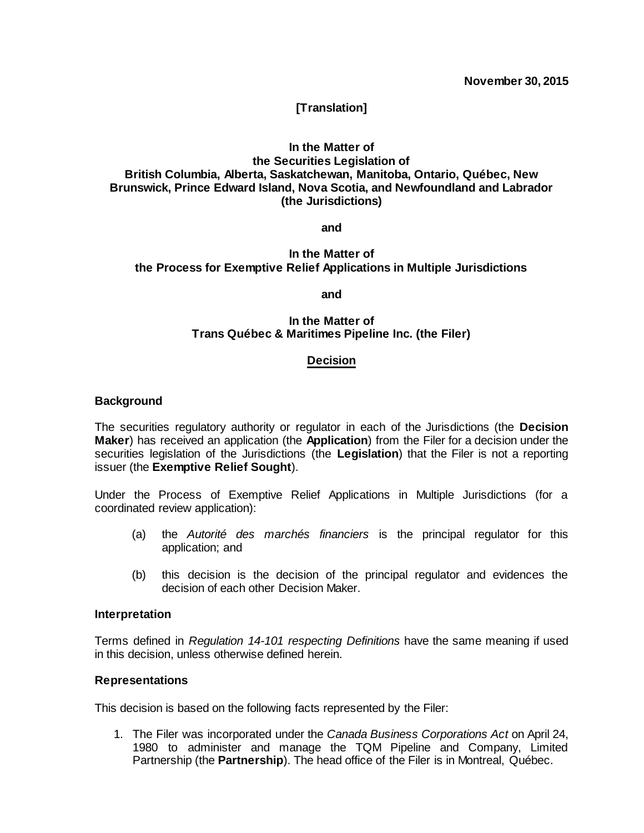# **[Translation]**

# **In the Matter of the Securities Legislation of British Columbia, Alberta, Saskatchewan, Manitoba, Ontario, Québec, New Brunswick, Prince Edward Island, Nova Scotia, and Newfoundland and Labrador (the Jurisdictions)**

**and**

# **In the Matter of the Process for Exemptive Relief Applications in Multiple Jurisdictions**

## **and**

## **In the Matter of Trans Québec & Maritimes Pipeline Inc. (the Filer)**

## **Decision**

## **Background**

The securities regulatory authority or regulator in each of the Jurisdictions (the **Decision Maker**) has received an application (the **Application**) from the Filer for a decision under the securities legislation of the Jurisdictions (the **Legislation**) that the Filer is not a reporting issuer (the **Exemptive Relief Sought**).

Under the Process of Exemptive Relief Applications in Multiple Jurisdictions (for a coordinated review application):

- (a) the *Autorité des marchés financiers* is the principal regulator for this application; and
- (b) this decision is the decision of the principal regulator and evidences the decision of each other Decision Maker.

## **Interpretation**

Terms defined in *Regulation 14-101 respecting Definitions* have the same meaning if used in this decision, unless otherwise defined herein.

## **Representations**

This decision is based on the following facts represented by the Filer:

1. The Filer was incorporated under the *Canada Business Corporations Act* on April 24, 1980 to administer and manage the TQM Pipeline and Company, Limited Partnership (the **Partnership**). The head office of the Filer is in Montreal, Québec.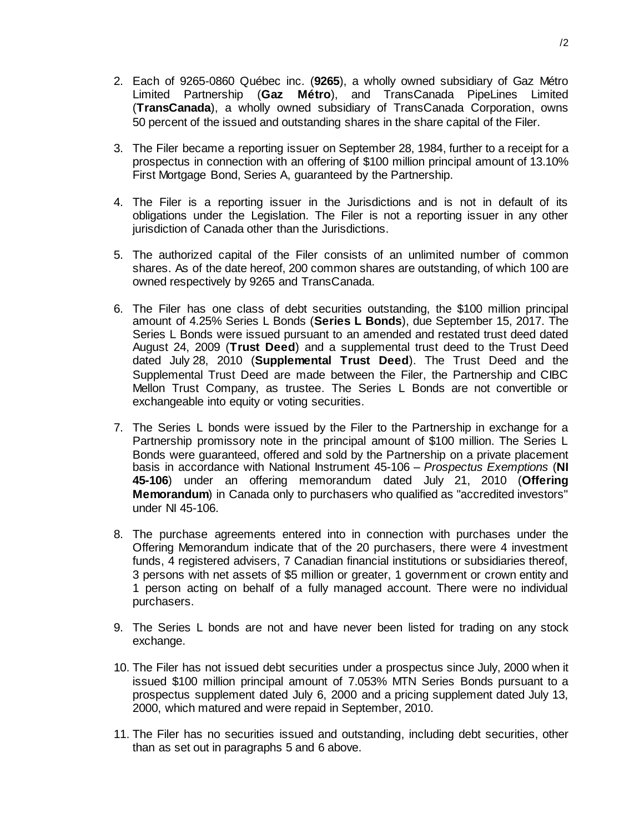- 2. Each of 9265-0860 Québec inc. (**9265**), a wholly owned subsidiary of Gaz Métro Limited Partnership (**Gaz Métro**), and TransCanada PipeLines Limited (**TransCanada**), a wholly owned subsidiary of TransCanada Corporation, owns 50 percent of the issued and outstanding shares in the share capital of the Filer.
- 3. The Filer became a reporting issuer on September 28, 1984, further to a receipt for a prospectus in connection with an offering of \$100 million principal amount of 13.10% First Mortgage Bond, Series A, guaranteed by the Partnership.
- 4. The Filer is a reporting issuer in the Jurisdictions and is not in default of its obligations under the Legislation. The Filer is not a reporting issuer in any other jurisdiction of Canada other than the Jurisdictions.
- 5. The authorized capital of the Filer consists of an unlimited number of common shares. As of the date hereof, 200 common shares are outstanding, of which 100 are owned respectively by 9265 and TransCanada.
- 6. The Filer has one class of debt securities outstanding, the \$100 million principal amount of 4.25% Series L Bonds (**Series L Bonds**), due September 15, 2017. The Series L Bonds were issued pursuant to an amended and restated trust deed dated August 24, 2009 (**Trust Deed**) and a supplemental trust deed to the Trust Deed dated July 28, 2010 (**Supplemental Trust Deed**). The Trust Deed and the Supplemental Trust Deed are made between the Filer, the Partnership and CIBC Mellon Trust Company, as trustee. The Series L Bonds are not convertible or exchangeable into equity or voting securities.
- 7. The Series L bonds were issued by the Filer to the Partnership in exchange for a Partnership promissory note in the principal amount of \$100 million. The Series L Bonds were guaranteed, offered and sold by the Partnership on a private placement basis in accordance with National Instrument 45-106 – *Prospectus Exemptions* (**NI 45-106**) under an offering memorandum dated July 21, 2010 (**Offering Memorandum**) in Canada only to purchasers who qualified as "accredited investors" under NI 45-106.
- 8. The purchase agreements entered into in connection with purchases under the Offering Memorandum indicate that of the 20 purchasers, there were 4 investment funds, 4 registered advisers, 7 Canadian financial institutions or subsidiaries thereof, 3 persons with net assets of \$5 million or greater, 1 government or crown entity and 1 person acting on behalf of a fully managed account. There were no individual purchasers.
- 9. The Series L bonds are not and have never been listed for trading on any stock exchange.
- 10. The Filer has not issued debt securities under a prospectus since July, 2000 when it issued \$100 million principal amount of 7.053% MTN Series Bonds pursuant to a prospectus supplement dated July 6, 2000 and a pricing supplement dated July 13, 2000, which matured and were repaid in September, 2010.
- 11. The Filer has no securities issued and outstanding, including debt securities, other than as set out in paragraphs 5 and 6 above.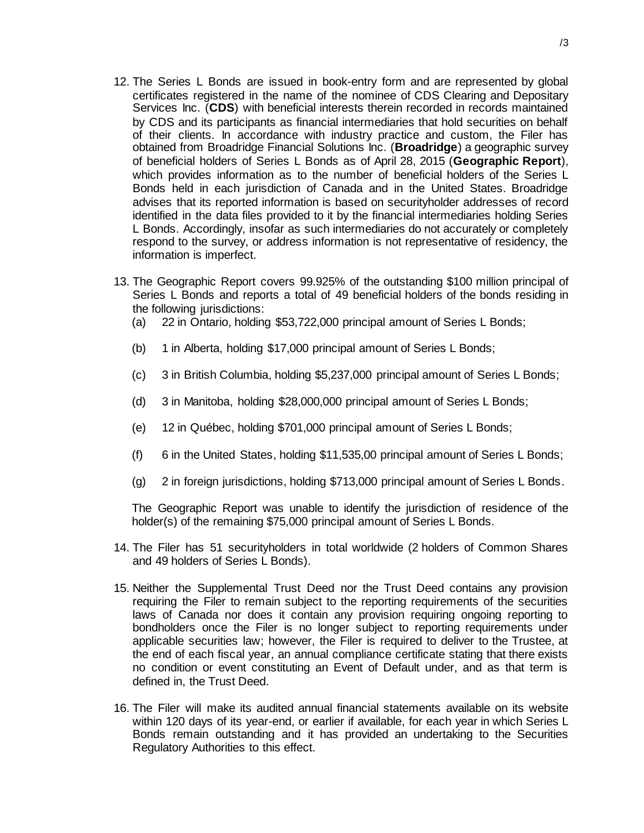- 12. The Series L Bonds are issued in book-entry form and are represented by global certificates registered in the name of the nominee of CDS Clearing and Depositary Services Inc. (**CDS**) with beneficial interests therein recorded in records maintained by CDS and its participants as financial intermediaries that hold securities on behalf of their clients. In accordance with industry practice and custom, the Filer has obtained from Broadridge Financial Solutions Inc. (**Broadridge**) a geographic survey of beneficial holders of Series L Bonds as of April 28, 2015 (**Geographic Report**), which provides information as to the number of beneficial holders of the Series L Bonds held in each jurisdiction of Canada and in the United States. Broadridge advises that its reported information is based on securityholder addresses of record identified in the data files provided to it by the financial intermediaries holding Series L Bonds. Accordingly, insofar as such intermediaries do not accurately or completely respond to the survey, or address information is not representative of residency, the information is imperfect.
- 13. The Geographic Report covers 99.925% of the outstanding \$100 million principal of Series L Bonds and reports a total of 49 beneficial holders of the bonds residing in the following jurisdictions:
	- (a) 22 in Ontario, holding \$53,722,000 principal amount of Series L Bonds;
	- (b) 1 in Alberta, holding \$17,000 principal amount of Series L Bonds;
	- (c) 3 in British Columbia, holding \$5,237,000 principal amount of Series L Bonds;
	- (d) 3 in Manitoba, holding \$28,000,000 principal amount of Series L Bonds;
	- (e) 12 in Québec, holding \$701,000 principal amount of Series L Bonds;
	- (f) 6 in the United States, holding \$11,535,00 principal amount of Series L Bonds;
	- (g) 2 in foreign jurisdictions, holding \$713,000 principal amount of Series L Bonds.

The Geographic Report was unable to identify the jurisdiction of residence of the holder(s) of the remaining \$75,000 principal amount of Series L Bonds.

- 14. The Filer has 51 securityholders in total worldwide (2 holders of Common Shares and 49 holders of Series L Bonds).
- 15. Neither the Supplemental Trust Deed nor the Trust Deed contains any provision requiring the Filer to remain subject to the reporting requirements of the securities laws of Canada nor does it contain any provision requiring ongoing reporting to bondholders once the Filer is no longer subject to reporting requirements under applicable securities law; however, the Filer is required to deliver to the Trustee, at the end of each fiscal year, an annual compliance certificate stating that there exists no condition or event constituting an Event of Default under, and as that term is defined in, the Trust Deed.
- 16. The Filer will make its audited annual financial statements available on its website within 120 days of its year-end, or earlier if available, for each year in which Series L Bonds remain outstanding and it has provided an undertaking to the Securities Regulatory Authorities to this effect.